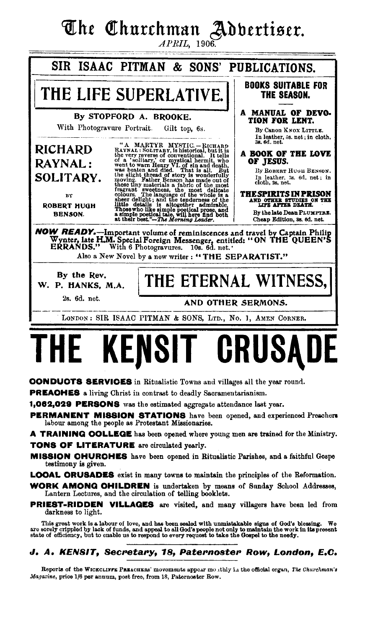# The Churchman Adbertiser.

 $APRIL$ , 1906.



**PERMANENT MISSION STATIONS** have been opened, and experienced Preachers labour among the people as Protestant Missionaries.

A TRAINING COLLEGE has been opened where young men are trained for the Ministry. **TONS OF LITERATURE** are circulated yearly.

**MISSION CHURCHES** have been opened in Ritualistic Parishes, and a faithful Gospe testimony is given.

**LOOAL ORUSADES** exist in many towns to maintain the principles of the Reformation.

**WORK AMONG OHILDREN** is undertaken by means of Sunday School Addresses, Lantern Lectures, and the circulation of telling booklets.

**PRIEST-RIDDEN VILLAGES** are visited, and many villagers have been led from darkness to light.

This great work is a labour of love, and has been sealed with unmistakable signs of God's blessing. We<br>are sorely crippled by lack of funds, and appeal to all God's people not only to maintain the work in its present<br>state

### J. A. KENSIT, Secretary, 18, Paternoster Row, London, E.C.

Reports of the WICKCLIFFE PREACHERS' movements appear mouthly in the official organ, The Churchman's Magazine, price 1/6 per annum, post free, from 18, Paternoster Row.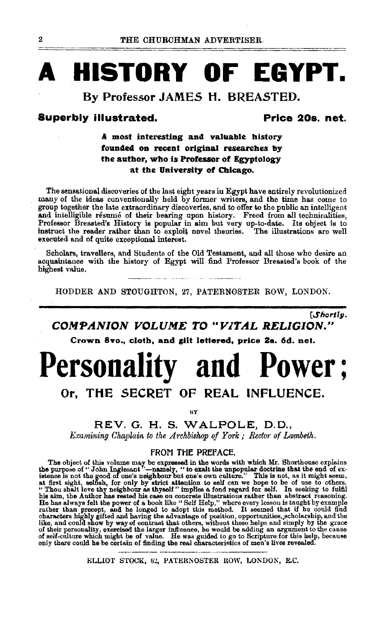# **HISTORY OF EGYPT.**

### By Professor JAMES H. BREASTED.

#### **Superbly illustrated.**

### Price 20s. net.

### A most interesting and valuable history founded on recent original researches by the author, who is Professor of Egyptology at the University of Chicago.

The sensational discoveries of the last eight years in Egypt have entirely revolutionized many of the ideas conventionally held by former writers, and the time has come to group together the late extraordinary discoveries, and to offer to the public an intelligent and intelligible résumé of their bearing upon history. Freed from all technicalities,<br>Professor Breasted's History is popular in aim but very up-to-date. Its object is to<br>instruct the reader rather than to exploit novel th executed and of quite exceptional interest.

Scholars, travellers, and Students of the Old Testament, and all those who desire an acquaintance with the history of Egypt will find Professor Breasted's book of the highest value.

HODDER AND STOUGHTON, 27, PATERNOSTER ROW, LONDON.

**Shortly.** 

### COMPANION VOLUME TO "VITAL RELIGION."

Crown 8vo., cloth, and gilt lettered, price 2s. 6d. net.

# **Personality and Power:**

# Or. THE SECRET OF REAL INFLUENCE.

**BV** 

REV. G. H. S. WALPOLE, D.D.,

Examining Chaplain to the Archbishop of York; Rector of Lambeth.

#### FROM THE PREFACE.

FROUT FILE PREFACE.<br>
The object of this volume may be expressed in the words with which Mr. Shorthouse explains<br>
the purpose of "John Inglessant"—namely, "to exalt the unpopular doctrine that the end of ex-<br>
istence is no

ELLIOT STOCK, 62, PATERNOSTER ROW, LONDON, E.C.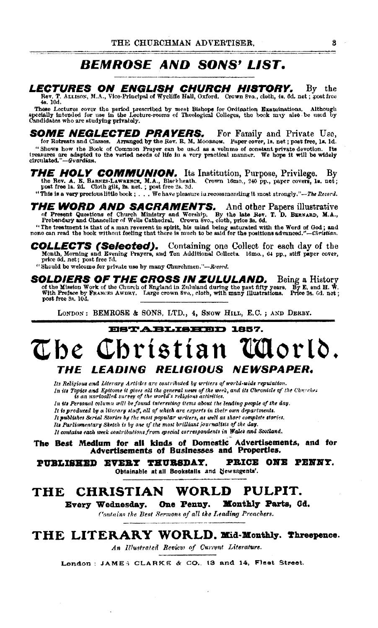# *BEMROSE AND SONS' LIST.*

#### LECTURES ON ENGLISH CHURCH HISTORY. By the

Rev. T. ALLISON, M.A., Vice-Principal of Wychiffe Hall, Oxford. Crown 8vo., cloth, 4s. 6d. net; post free 48. 10d.

These Lectures cover the period prescribed by mest Bishops for Ordination Examinations. Although specially intended for use in the Lecture-rooms of Theological Colleges, the book may also be used by Candidates who are stud

**SOME NEGLECTED PRAYERS.** For Family and Private Use, for Retreats and Classes. Arranged by the Rev. R. M. MOORSOM. Paper cover, 1s. net; post free, 1s. 1d. "Shows how the Book of Common Prayer can be used as a volume of constant private devotion. Its treasures are adapted to the varied needs of life in a very practical manner. We hope it will be widely circulated."-Guardian. Its

THE HOLY COMMUNION. Its Institution, Purpose, Privilege. Bv the Rev. A. E. BARRE-LAWRERCK, M.A., Blackheath. Crown 16mo., 240 pp., paper covers, Is. net;<br>post free ls. 2d. Cloth gilt, 2s. net.; post free 2s. 3d.

"This is a very precious little book ; . . . We have pleasure in recommending it most strongly."-The Record.

THE WORD AND SACRAMENTS. And other Papers illustrative of Present Questions of Church Ministry and Worship. By the late Rev. T. D. BERNARD, M.A., Prebendary and Chancellor of Wells Cathedral. Crown 8vo., cloth, price 8s. 6

"The treatment is that of a man reverent in spirit, his mind being saturated with the Word of God; and none can read the book without feeling that there is much to be said for the positions advanced."-Christian.

COLLECTS (Selected). Containing one Collect for each day of the Month, Morning and Evening Prayers, and Ten Additional Collects. 18mo., 64 pp., stiff paper cover, price 6d. net; post free 7d.

"Should be welcome for private use by many Churchmen."-Record.

SOLDIERS OF THE CROSS IN ZULULAND. Being a History of the Mission Work of the Church of England in Zululand during the past fifty years. By E, and H. W.<br>With Preface by FRANCES AWDRY. Large crown 8vo., cloth, with many Illustrations. Price 3s. 6d. net; post free 3s. 10d.

LONDON: BEMROSE & SONS, LTD., 4, SNOW HILL, E.C.; AND DERBY.

# **ESTABLISHED 1857.** The Christian Udorld. THE LEADING RELIGIOUS NEWSPAPER.

Its Religious and Literary Articles are contributed by writers of world-wide reputation. In its Topies and Epitome it gives all the general news of the week, and its Chronicle of the Churches is an unrivalled survey of the world's religious activities.

In its Personal column will be found interesting items about the leading people of the day.

It is produced by a literary staff, all of which are experts in their own departments.

It publishes Serial Stories by the most popular writers, as well as short complete stories.

Its Parliamentary Sketch is by one of the most brilliant journalists of the day.

It contains each week contributions from special correspondents in Wales and Scotland.

The Best Medium for all kinds of Domestic Advertisements, and for Advertisements of Businesses and Properties.

PUBLISHED EVERY THURSDAY. PRICE ONE PENNY. Obtainable at all Bookstalls and Newsagents'.

#### **CHRISTIAN** WORLD PULPIT. THE

Every Wednesday. One Penny. Monthly Parts, Gd.

Contains the Best Sermons of all the Leading Preachers.

## THE LITERARY WORLD, Mid-Monthly. Threepence.

An Illustrated Review of Current Literature.

London: JAMES CLARKE & CO., 13 and 14, Fleet Street.

8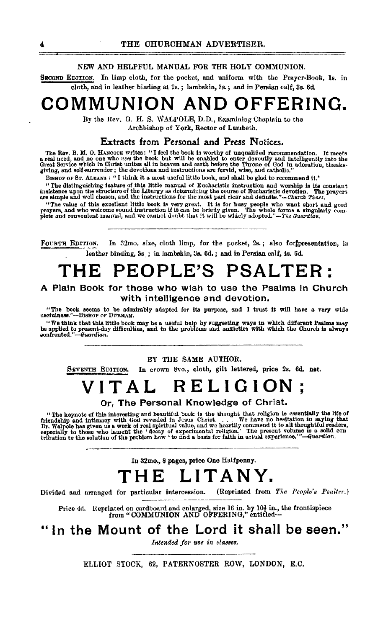#### NEW AND HELPFUL MANUAL FOR THE HOLY COMMUNION.

SECOND EDITION. In limp cloth, for the pocket, and uniform with the Prayer-Book, Is. in cloth, and in leather binding at 2s. ; lambskin, 3s.; and in Persian calf, 3s. 6d.

# **COMMUNION AND OFFERING.**

By the Rev. G. H. S. WALPOLE, D.D., Examining Chaplain to the Archbishop of York, Rector of Lambeth.

#### Extracts from Personal and Press Notices.

The Rev. B. M. O. HANCOCK writes: "I feel the book is worthy of unqualified recommendation. It meets<br>a real need, and no one who uses the book but will be enabled to enter devoutly and intelligently into the<br>Great Service

BISHOP OF ST. ALBANS : "I think it a most useful little book, and shall be glad to recommend it."

"The distinguishing feature of this little manual of Eucharistic instruction and worship is its constant insistence upon the structure of the Liturgy as determining the course of Eucharistic devotion. The prayers are simpl

"The value of this excellent little book is very great. It is for busy people who want short and good prayers, and who welcome sound instruction if it can be briefly given. The whole forms a singularly complete and conven

FOURTR EDITION. In 32mo. size, cloth limp, for the pocket, 2s.; also for presentation, in leather binding, 3s. ; in lambskin, 3s. 6d,; and in Persian call, 4s. 6d.

# **THE PEOPLE'S PSALTER:**

#### **A** Plain Book for those who wish to use the Psalms In Church with intelligence and devotion.

"The book seems to be admirably adapted for its purpose, and I trust it will have a very wide uscfulness."---BisHoP oF DURHAM.

"We think that this little book may be a useful help by suggesting ways in which different Pealms may<br>be applied to present-day difficulties, and to the problems and anxieties with which the Church is always<br>confronted."—

#### BY THE SAME AUTHOR.

SEVENTH EDITION, In crown Svo., cloth, gilt lettered, price 2s. 6d. net.

# **VITAL RELIGION;**

#### Or, The Personal Knowledge of Christ.

"The keynote of this interesting and beautiful book is the thought that religion is essentially the life of friendship and intimacy with God revealed in Josus Christ. . . . We have no hesitation in saying that Dr. Walpole

In 32mo., 8 pages, price One Halfpenny.

# **THE LIT ANY.**

Divided and arranged for particular intercession. (Reprinted from The People's Psalter.)

Price 4d. Reprinted on cardboard and enlarged, size 16 in. by 10<sup>1</sup> in., the frontispiece from "COMMUNION AND OFFERING," entitled--

**"In the Mount of the Lord it shall be seen."** 

Intended for use in classes.

ELLIOT STOCK, 62, PATERNOSTER ROW, LONDON, E.C.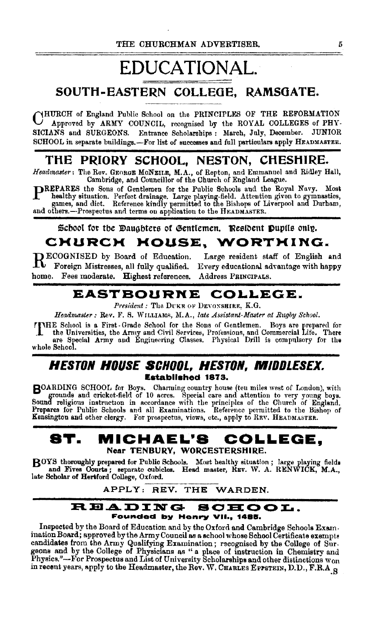# **EDUCATIONAL. SOUTH-EASTERN COLLEGE, RAMSOATE.**

CHURCH of England Public School on the PRINCIPLES OF THE REFORMATION Approved by ARMY COUNCIL, recognised by the ROYAL COLLEGES of PHY-SICIANS and SURGEONS. Entrance Scholarships : March, Jnly, December. JUNIOR SCHOOL in separate buildings.-For list of successes and full particulars apply HEADMASTER.

# **THE PRIORY SCHOOL, NESTON, CHESHIRE.**

*Headmaster:* The Rev. GEORGE MoNEII.E, M.A., of Repton, and Emmanuel and Ridley Hall, Cambridge, and Councillor of the Church of England League.

PREPARES the Sons of Gentlemen for the Public Schools and the Royal Navy. Most healthy situation. Perfect drainage. Large playing-field. Attention given to gymnastics, games, and dict. Reference kindly permitted to the Bis and others.-Prospectus and terms on application to the HEADMASTER.

Scbool for the Daughters of Gentlemen. Resident Pupils only.

# CHURCH HOUSE, WORTHING.

RECOGNISED by Board of Education. Large resident staff of English and Foreign Mistresses, all fully qualified. Every educational advantage with happy home. Fees moderate. Highest references. Address PRINCIPALS.

# **EASTBOURNE COLLEGE.**

*President:* The DUKE OF DEVONSHIRE, K.G.

Headmaster: Rev. F. S. WILLIAMS, M.A., *late Assistant-Master at Rugby School*.

rrHE School is a First- Grade School for the Sons of Gentlemen. Boys are prepared for the Universities, the Army and Civil Services, Professions, and Commercial Life. There are Special Army and Engineering Classes. Physical Drill is compulsory for the whole School.

### *HESTON HOUSE SCHOOL, HESTON, WIIODLESEX.*  **Established 1873.**

BOARDING SCHOOL for Boys. Charming country house (ten miles west of J.ondon), v;ith grounds and cricket-field of 10 acres. Special care and attention to very young boys. Sound religious instruction in accordance with the principles of the Church of England.<br>Prepares for Public Schools and all Examinations. Reference permitted to the Bishop of Kensington and other clergy. For prospectus, views, etc., apply to REV. HEADMASTER.

### **ST. MICHAEL'S COLLEGE,**  Near TENBURY, WORCESTERSHIRE.

BOYS thoroughly prepared for Public Schools. Most healthy situation; large playing fields and Fives Courts; separate cubicles. Head master, REV. W. A. RENWICK, M.A., late Scholar of Hertford College, Oxford. s, separato cubicles. Head master, REV. W. A.<br>rd College, Oxford.<br>APPLY: REV. THE WARDEN.

#### READING SOHOOL. **Founded by Henry VU. <sup>1</sup>1488.**

Inspected by the Board of Education and by the Oxford and Cambridge Schools Exam. ination Board; approved by the Army Council as a school whose School Certificate exempts candidates from the Army Qualifying Examination; rscognised by the College of Surgeons and by the College of Physicians as " a. place of instruction in Chemistry and Physics."—For Prospectus and List of University Scholarships and other distinctions  $w_{\rm on}$  in recent years, apply to the Headmaster, the Rev. W. CHARLES EPPSTEIN, D.D., F.R.A.  $_\odot$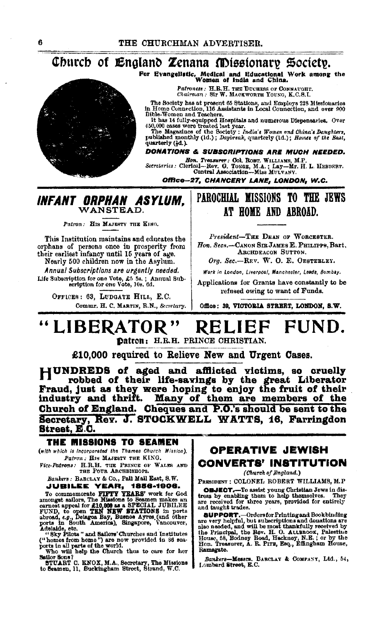# Church of England Zenana Missionary Society.

For Evangelistic, Medical and Educational Work among the Women of India and China.

Patroness: H.R.H. THE DUCHESS OF CONNAUGHT.

Chairman . Sir W. MACKWORTH YOUNG, K.C.S.I.

The Society has at present 65 Stations, and Employs 228 Missionaries<br>in Home Connection, 116 Assistants in Local Connection, and over 900 **Bible-Women and Teachers** 

Bible-Women and Tesoners.<br>It has H fully-equipped Hospitals and numerous Dispensaries. Over<br>450,000 cases were treated last year.<br>The Magazines of the Society: India's Women and China's Daughters,<br>published monthly (1d.); quarterly (1d.).

### DONATIONS & SUBSCRIPTIONS ARE MUCH NEEDED.

Hon. Treasurer: Col. Robr. WILLIAMS, M.P.<br>Secretaries: Clerical--Rev. G. Toxag, M.A.; Lay-Mr. H. L. HEBERRT.<br>Central Association--Miss MUUVANY.

Office-27, CHANCERY LANE, LONDON, W.C.

# INFANT ORPHAN ASYLUM,

Patron: His MAJESTY THE KING.

This Institution maintains and educates the orphans of persons once in prosperity from<br>their earliest infancy until 15 years of age.

Nearly 500 children now in the Asylum. Annual Subscriptions are urgently needed. Life Subscription for one Vote, £5 5s.; Annual Sub-<br>ecription for one Vote, 10s. 6d.

OFFICES: 63, LUDGATE HILL, E.C. Commr. H. C. MARTIN, R.N., Secretary.

## PAROCHIAL MISSIONS TO THE JEWS AT HOME AND ABROAD.

President-THE DEAN OF WORCESTER. Hon. Secs.-CANON SIR JAMES E. PHILIPPS. Bart. ARCHDEACON SUTTON.

Org. Sec.-REV. W. O. E. OESTERLEY.

Work in London, Liverpool, Manchester, Leeds, Bombay.

Applications for Grants have constantly to be refused owing to want of Funds.

Office: 39, VICTORIA STREET, LONDON, S.W.

#### "LIBERATOR" **RELIE** FUND.

Datron: H.R.H. PRINCE CHRISTIAN.

£10.000 required to Relieve New and Urgent Cases.

HUNDREDS of aged and afflicted victims, so cruelly The robbed of their life-savings by the great Liberator<br>Fraud, just as they were hoping to enjoy the fruit of their<br>industry and thrift. Many of them are members of the Church of England. Cheques and P.O.'s should be sent to the Secretary, Rev. J. STOCKWELL WATTS, 16, Farringdon Street. E.C.

### THE MISSIONS TO SEAMEN

(with which is incorporated the Thames Church Mission), Patron: HIS MAJESTY THE KING.

Vice-Patrons: H.R.H. THE PRINCE OF WALES AND THE FOUR ARCHBISHOPS.

Bankers: BARCLAY & Co., Pall Mail East, S.W. **JUBILEE YEAR, 1856-1906.** 

JUBILEE YEAR, 1856-1906.<br>To commemorate FIFTY YEARS' work for God<br>armongt salions, The Missions to Seamon makes an<br>ernest appeal for £10,000 as a SPECIAL JUBILEE<br>FUND, to open TEN NEW STATIONS in ports<br>abroad,  $\varepsilon, p$ , De

Sailor Sons?

STUART C. KNOX, M.A., Secretary, The Missions to Seamen, 11, Buckingham Street, Birand, W.C.

### **OPERATIVE JEWISH CONVERTS' INSTITUTION**

(Church of England.)

PRESIDENT : COLONEL ROBERT WILLIAMS, M.P

**OBJECT.**-To assist young Christian Jews in distress by enabling them to help themselves. They are received for three years, provided for entirely and taught trades.

Ramsgate.

Bankers-Messrs. BARCLAY & COMPANY, Ltd., 54, Lombard Street, E.C.

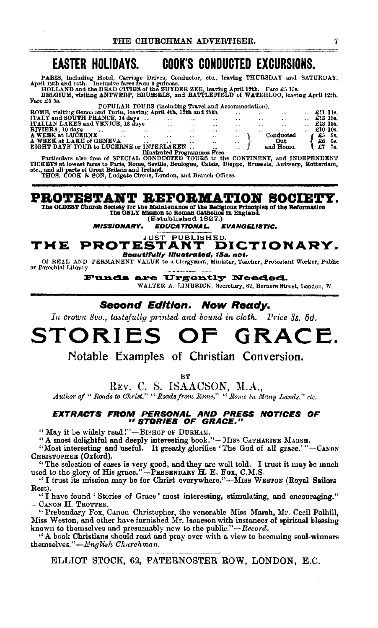#### **EASTER HOLIDAYS. COOK'S CONDUCTED EXCURSIONS.**

**PARIS, including Hotel, Carriage Drives, Conductor, etc., leaving THURSDAY and SATURDAY, April 12th and 14th. Inclusive fares from S guiness.**<br>HOLLAND and the DEAD CITIES of the ZUYDER ZEE, leaving April 12th. Farc £5 15s

Fare £5 5s.

| POPULAR TOURS (including Travel and Accommodation).              |                      |               |                 |                 |                  |                      |          |                 |  |          |     |
|------------------------------------------------------------------|----------------------|---------------|-----------------|-----------------|------------------|----------------------|----------|-----------------|--|----------|-----|
| ROME, visiting Genoa and Turin, leaving April 4th, 12th and 25th |                      |               |                 |                 |                  | $\ddot{\phantom{1}}$ | $\cdots$ | $\cdot$ .       |  | £11 11s. |     |
| ITALY and SOUTH FRANCE, 14 days                                  |                      |               | $\cdot$ $\cdot$ | $\cdot$ $\cdot$ | $\cdots$         | $\cdot$ .            | $\cdots$ | $\sim$          |  | £13 18s. |     |
| <b>ITALIAN LAKES and VENICE, 13 days</b>                         |                      |               | $\bullet$       | $\cdots$        | $\bullet\bullet$ | $\ddot{\phantom{a}}$ | . .      | $\cdot$ $\cdot$ |  | £18 13s. |     |
| RIVIERA, 10 days                                                 | $\ddot{\phantom{0}}$ | $\cdots$      | . .             | $\cdot$ .       | $\cdot$          | . .                  | $\cdot$  | . .             |  | £10 10s. |     |
| A WEEK at LUCERNE                                                |                      | $\sim$ $\sim$ | $\cdot$ .       | $\cdot$ $\cdot$ | $\cdots$         | $\cdots$             |          | Conducted       |  | Æ5.      | 58. |
| A WEEK at LAKE of GENEVA                                         |                      | $\cdots$      | $\cdot$ .       | $\cdot$         | $\cdots$         | $\cdot$              |          | Out             |  | £6       | 66. |
| <b>EIGHT DAYS' TOUR to LUCERNE or INTERLAKEN</b>                 |                      |               |                 |                 |                  | $\overline{1}$       |          | and Home.       |  |          | 76. |
| Mus <del>ta</del> ted Desemanua Pesa                             |                      |               |                 |                 |                  |                      |          |                 |  |          |     |

Particulars also free of SPECIAL CONDUCTED TOURS free.<br>TICKETS at lowest fares to Paris, Rome, Seville, Boulogne, Calais, Dieppe, Brussels, Antwerp, Rotterdam, stc., and all parts of Great Britan and Ireland.<br>stc., and all

# PROTESTANT REFORMATION SOCIETY.

The OLDEST Church Society for the Maintenance of the Beligious Principles of the Reformation<br>The ONLY Mission to Roman Gatholics in England.<br>(Established 1827.)

**MISSIONARY. EDUCATIONAL. EVANGELISTIC.** 

#### **PROTESTANT D** DICTIONARY. TME Beauthully Illustrated, 15s. net.

Of REAL AND PERMANENT VALUE to a Clergyman, Minister, Teacher, Protestant Worker, Public or Parochial Library.

Funds are Urgently Needed.

WALTER A. LIMBRICK, Secretary, 62, Berners Street, London, W.

### Second Edition. Now Ready.

In crown Svo., tastefully printed and bound in cloth. Price 3s, 6d.

#### GRACE. STORIES  $O$ F

Notable Examples of Christian Conversion.

ВY

REV. C. S. ISAACSON, M.A.,

Author of "Roads to Christ," "Roads from Rome," "Rome in Many Lands." ctc.

# EXTRACTS FROM PERSONAL AND PRESS NOTICES OF<br>"STORIES OF GRACE."

"May it be widely read!"-BISHOP OF DURHAM.

"A most dolightful and deeply interesting book."- MISS CATHARINE MARSH.

"Most interesting and useful. It greatly glorifies 'The God of all grace.'"-CANON Christopher (Oxford).

"The selection of cases is very good, and they are well told. I trust it may be much used to the glory of His grace."-PREBENDARY H. E. FOX, C.M.S.

"I trust its mission may be for Christ everywhere."-MISS WESTON (Royal Sailors Rest).

"I have found 'Stories of Grace' most interesting, stimulating, and encouraging." -Canon H. Trotter.

"Prebendary Fox, Canon Christopher, the venerable Miss Marsh, Mr. Cecil Polhill, Miss Weston, and other have furnished Mr. Isaacson with instances of spiritual blessing known to themselves and presumably new to the public."-Record.

"A book Christians should read and pray over with a view to becoming soul-winners themselves."-English Churchman.

ELLIOT STOCK, 62, PATERNOSTER ROW, LONDON, E.C.